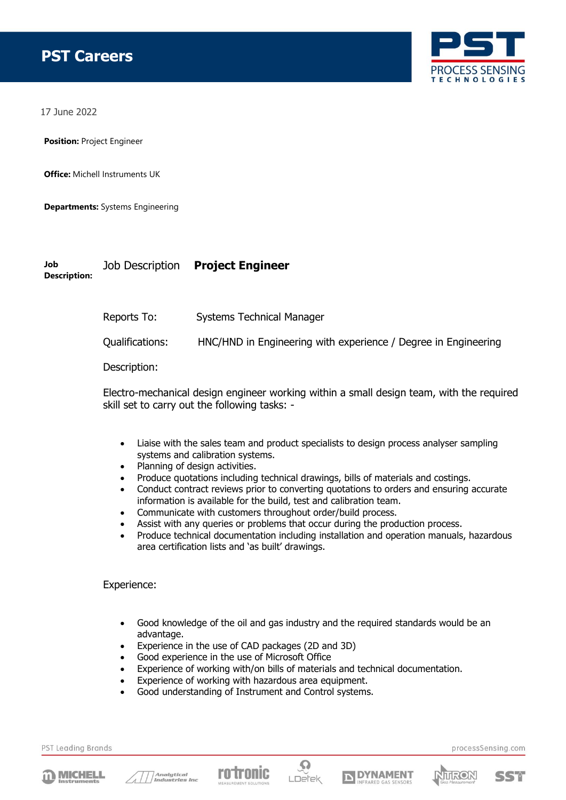

17 June 2022

**Position:** Project Engineer

**Office:** Michell Instruments UK

**Departments:** Systems Engineering

## **Job Description:** Job Description **Project Engineer**

Reports To: Systems Technical Manager

Qualifications: HNC/HND in Engineering with experience / Degree in Engineering

Description:

Electro-mechanical design engineer working within a small design team, with the required skill set to carry out the following tasks: -

- Liaise with the sales team and product specialists to design process analyser sampling systems and calibration systems.
- Planning of design activities.
- Produce quotations including technical drawings, bills of materials and costings.
- Conduct contract reviews prior to converting quotations to orders and ensuring accurate information is available for the build, test and calibration team.
- Communicate with customers throughout order/build process.
- Assist with any queries or problems that occur during the production process.
- Produce technical documentation including installation and operation manuals, hazardous area certification lists and 'as built' drawings.

## Experience:

- Good knowledge of the oil and gas industry and the required standards would be an advantage.
- Experience in the use of CAD packages (2D and 3D)
- Good experience in the use of Microsoft Office
- Experience of working with/on bills of materials and technical documentation.
- Experience of working with hazardous area equipment.
- Good understanding of Instrument and Control systems.

PST Leading Brands













processSensing.com

SSM